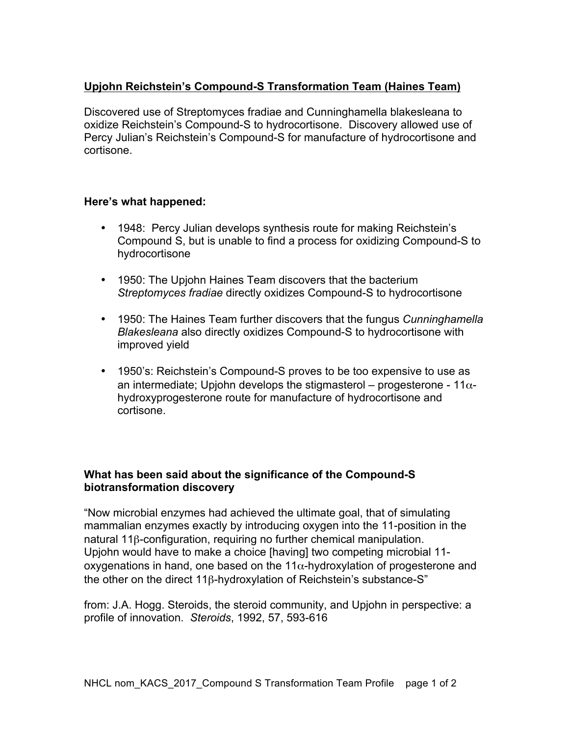# **Upjohn Reichstein's Compound-S Transformation Team (Haines Team)**

Discovered use of Streptomyces fradiae and Cunninghamella blakesleana to oxidize Reichstein's Compound-S to hydrocortisone. Discovery allowed use of Percy Julian's Reichstein's Compound-S for manufacture of hydrocortisone and cortisone.

#### **Here's what happened:**

- 1948: Percy Julian develops synthesis route for making Reichstein's Compound S, but is unable to find a process for oxidizing Compound-S to hydrocortisone
- 1950: The Upjohn Haines Team discovers that the bacterium *Streptomyces fradiae* directly oxidizes Compound-S to hydrocortisone
- 1950: The Haines Team further discovers that the fungus *Cunninghamella Blakesleana* also directly oxidizes Compound-S to hydrocortisone with improved yield
- 1950's: Reichstein's Compound-S proves to be too expensive to use as an intermediate; Upjohn develops the stigmasterol – progesterone -  $11\alpha$ hydroxyprogesterone route for manufacture of hydrocortisone and cortisone.

## **What has been said about the significance of the Compound-S biotransformation discovery**

"Now microbial enzymes had achieved the ultimate goal, that of simulating mammalian enzymes exactly by introducing oxygen into the 11-position in the natural 11β-configuration, requiring no further chemical manipulation. Upjohn would have to make a choice [having] two competing microbial 11 oxygenations in hand, one based on the 11 $\alpha$ -hydroxylation of progesterone and the other on the direct 11β-hydroxylation of Reichstein's substance-S"

from: J.A. Hogg. Steroids, the steroid community, and Upjohn in perspective: a profile of innovation. *Steroids*, 1992, 57, 593-616